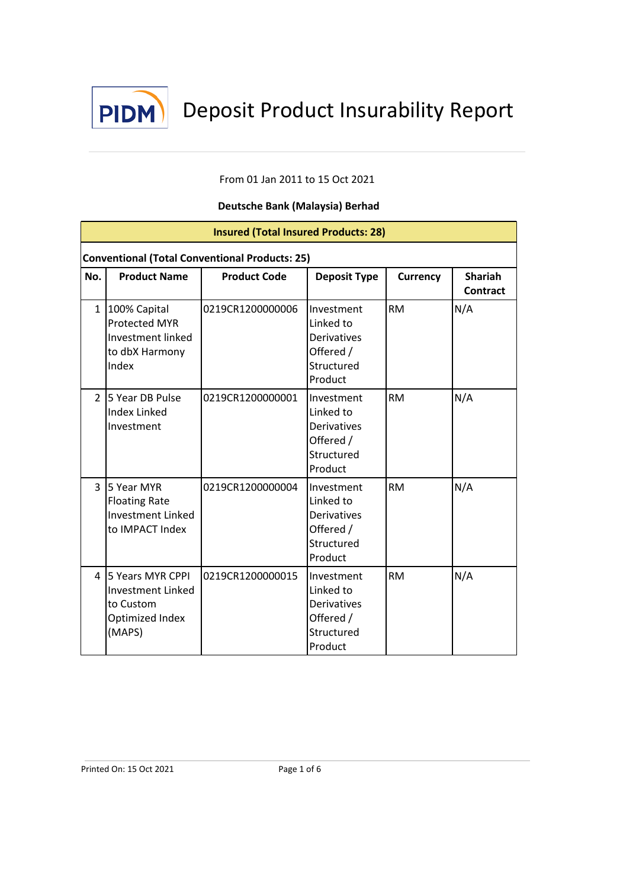

# From 01 Jan 2011 to 15 Oct 2021

| <b>Insured (Total Insured Products: 28)</b> |                                                                                      |                     |                                                                                     |                 |                            |  |  |
|---------------------------------------------|--------------------------------------------------------------------------------------|---------------------|-------------------------------------------------------------------------------------|-----------------|----------------------------|--|--|
|                                             | <b>Conventional (Total Conventional Products: 25)</b>                                |                     |                                                                                     |                 |                            |  |  |
| No.                                         | <b>Product Name</b>                                                                  | <b>Product Code</b> | <b>Deposit Type</b>                                                                 | <b>Currency</b> | <b>Shariah</b><br>Contract |  |  |
| $\mathbf{1}$                                | 100% Capital<br><b>Protected MYR</b><br>Investment linked<br>to dbX Harmony<br>Index | 0219CR1200000006    | Investment<br>Linked to<br><b>Derivatives</b><br>Offered /<br>Structured<br>Product | <b>RM</b>       | N/A                        |  |  |
| $\overline{2}$                              | <b>5 Year DB Pulse</b><br><b>Index Linked</b><br>Investment                          | 0219CR1200000001    | Investment<br>Linked to<br>Derivatives<br>Offered /<br>Structured<br>Product        | <b>RM</b>       | N/A                        |  |  |
| $\overline{3}$                              | 5 Year MYR<br><b>Floating Rate</b><br><b>Investment Linked</b><br>to IMPACT Index    | 0219CR1200000004    | Investment<br>Linked to<br><b>Derivatives</b><br>Offered /<br>Structured<br>Product | <b>RM</b>       | N/A                        |  |  |
| 4                                           | 5 Years MYR CPPI<br>Investment Linked<br>to Custom<br>Optimized Index<br>(MAPS)      | 0219CR1200000015    | Investment<br>Linked to<br><b>Derivatives</b><br>Offered /<br>Structured<br>Product | <b>RM</b>       | N/A                        |  |  |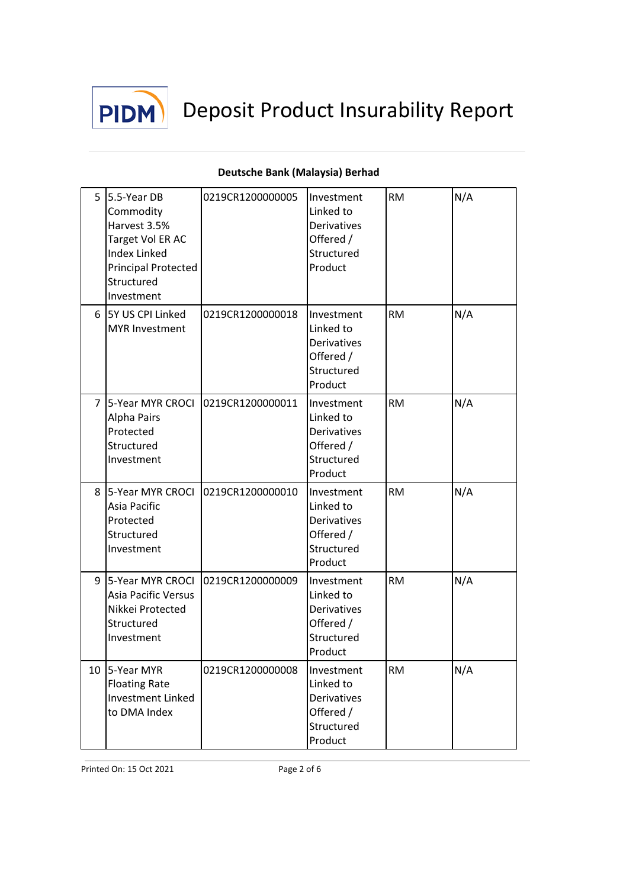

|                | 5 5.5-Year DB<br>Commodity<br>Harvest 3.5%<br>Target Vol ER AC<br><b>Index Linked</b><br><b>Principal Protected</b><br>Structured<br>Investment | 0219CR1200000005                    | Investment<br>Linked to<br><b>Derivatives</b><br>Offered /<br>Structured<br>Product | <b>RM</b> | N/A |
|----------------|-------------------------------------------------------------------------------------------------------------------------------------------------|-------------------------------------|-------------------------------------------------------------------------------------|-----------|-----|
| 6              | 5Y US CPI Linked<br><b>MYR Investment</b>                                                                                                       | 0219CR1200000018                    | Investment<br>Linked to<br><b>Derivatives</b><br>Offered /<br>Structured<br>Product | <b>RM</b> | N/A |
| $\overline{7}$ | Alpha Pairs<br>Protected<br>Structured<br>Investment                                                                                            | 5-Year MYR CROCI   0219CR1200000011 | Investment<br>Linked to<br><b>Derivatives</b><br>Offered /<br>Structured<br>Product | <b>RM</b> | N/A |
|                | Asia Pacific<br>Protected<br>Structured<br>Investment                                                                                           | 8 5-Year MYR CROCI 0219CR1200000010 | Investment<br>Linked to<br>Derivatives<br>Offered /<br>Structured<br>Product        | <b>RM</b> | N/A |
| 9              | <b>Asia Pacific Versus</b><br>Nikkei Protected<br>Structured<br>Investment                                                                      | 5-Year MYR CROCI 0219CR1200000009   | Investment<br>Linked to<br>Derivatives<br>Offered /<br>Structured<br>Product        | <b>RM</b> | N/A |
|                | 10 5-Year MYR<br><b>Floating Rate</b><br><b>Investment Linked</b><br>to DMA Index                                                               | 0219CR1200000008                    | Investment<br>Linked to<br><b>Derivatives</b><br>Offered /<br>Structured<br>Product | <b>RM</b> | N/A |

# **Deutsche Bank (Malaysia) Berhad**

Printed On: 15 Oct 2021 Page 2 of 6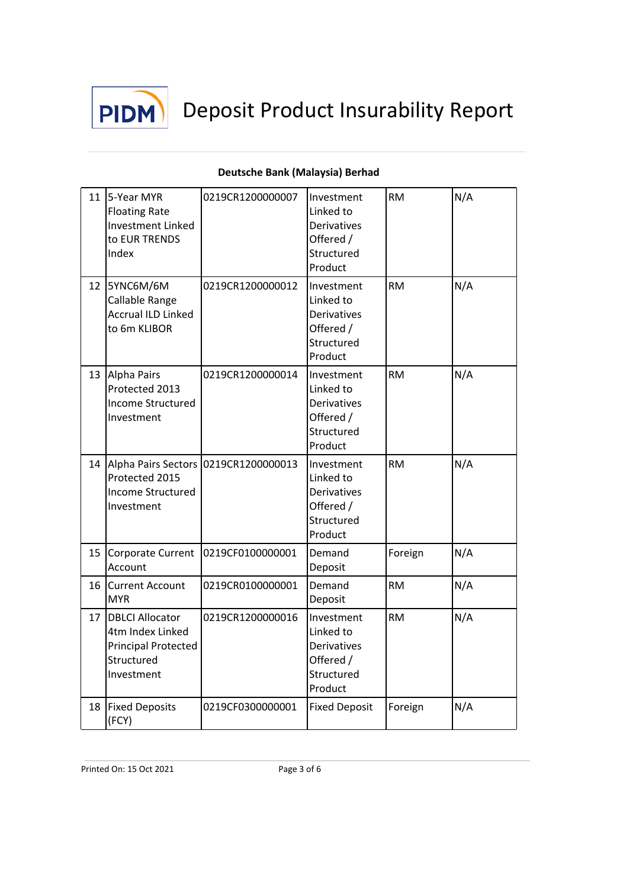

#### 11 5-Year MYR Floating Rate Investment Linked to EUR TRENDS Index 0219CR1200000007 Investment Linked to **Derivatives** Offered / Structured Product  $RM$   $N/A$ 12 5YNC6M/6M Callable Range Accrual ILD Linked to 6m KLIBOR 0219CR1200000012 Investment Linked to Derivatives Offered / Structured Product  $RM$   $N/A$ 13 Alpha Pairs Protected 2013 Income Structured Investment 0219CR1200000014 Investment Linked to Derivatives Offered / Structured Product RM N/A 14 Alpha Pairs Sectors 0219CR1200000013 Investment Protected 2015 Income Structured Investment Linked to Derivatives Offered / Structured Product RM **N/A** 15 Corporate Current 0219CF0100000001 Demand Account Deposit Foreign | N/A 16 Current Account MYR 0219CR0100000001 Demand Deposit  $RM$   $N/A$ 17 **DBLCI** Allocator 4tm Index Linked Principal Protected Structured Investment 0219CR1200000016 Investment Linked to Derivatives Offered / Structured Product  $RM$   $N/A$ 18 **Fixed Deposits** (FCY) 0219CF0300000001 Fixed Deposit Foreign M/A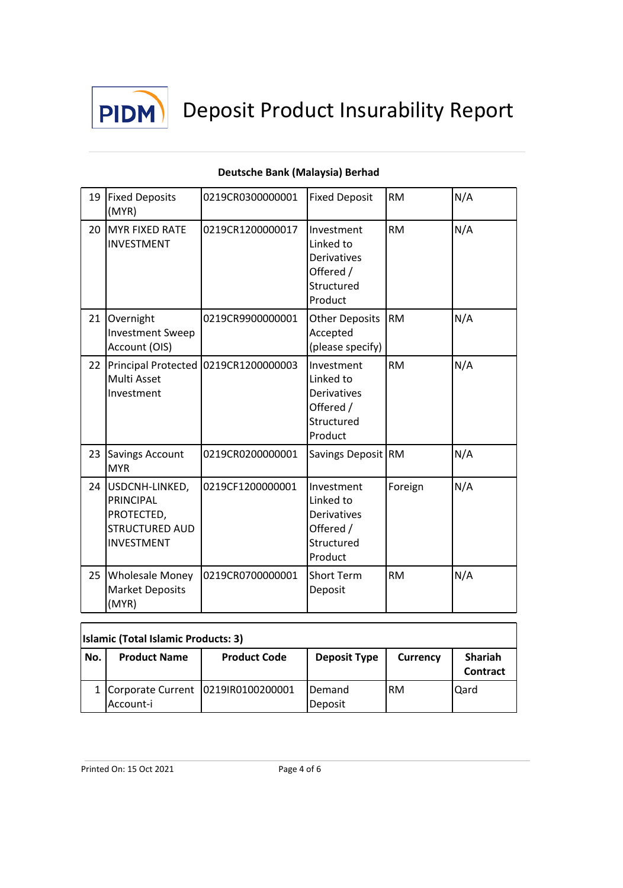

| 19 | <b>Fixed Deposits</b><br>(MYR)                                                          | 0219CR0300000001                       | <b>Fixed Deposit</b>                                                                | <b>RM</b> | N/A |
|----|-----------------------------------------------------------------------------------------|----------------------------------------|-------------------------------------------------------------------------------------|-----------|-----|
| 20 | <b>MYR FIXED RATE</b><br><b>INVESTMENT</b>                                              | 0219CR1200000017                       | Investment<br>Linked to<br><b>Derivatives</b><br>Offered /<br>Structured<br>Product | <b>RM</b> | N/A |
| 21 | Overnight<br><b>Investment Sweep</b><br>Account (OIS)                                   | 0219CR9900000001                       | <b>Other Deposits</b><br>Accepted<br>(please specify)                               | <b>RM</b> | N/A |
| 22 | Multi Asset<br>Investment                                                               | Principal Protected   0219CR1200000003 | Investment<br>Linked to<br><b>Derivatives</b><br>Offered /<br>Structured<br>Product | <b>RM</b> | N/A |
| 23 | <b>Savings Account</b><br><b>MYR</b>                                                    | 0219CR0200000001                       | Savings Deposit RM                                                                  |           | N/A |
| 24 | USDCNH-LINKED,<br>PRINCIPAL<br>PROTECTED,<br><b>STRUCTURED AUD</b><br><b>INVESTMENT</b> | 0219CF1200000001                       | Investment<br>Linked to<br><b>Derivatives</b><br>Offered /<br>Structured<br>Product | Foreign   | N/A |
| 25 | <b>Wholesale Money</b><br><b>Market Deposits</b><br>(MYR)                               | 0219CR0700000001                       | <b>Short Term</b><br>Deposit                                                        | <b>RM</b> | N/A |

| <b>Islamic (Total Islamic Products: 3)</b> |                     |                                          |                           |          |                            |  |
|--------------------------------------------|---------------------|------------------------------------------|---------------------------|----------|----------------------------|--|
| No.                                        | <b>Product Name</b> | <b>Product Code</b>                      | <b>Deposit Type</b>       | Currency | Shariah<br><b>Contract</b> |  |
|                                            | Account-i           | 1   Corporate Current   02191R0100200001 | <b>IDemand</b><br>Deposit | IRM      | <b>Qard</b>                |  |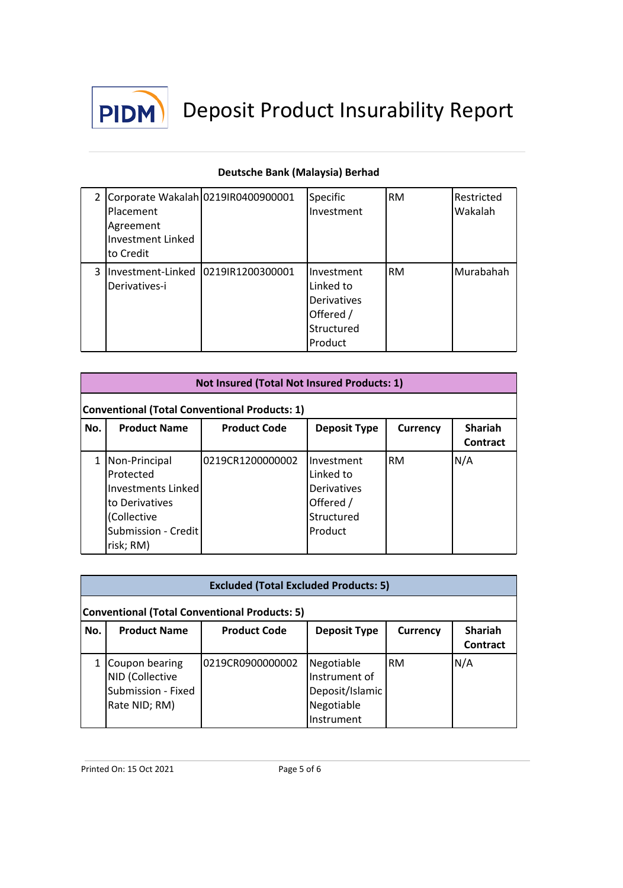

|   | 2 Corporate Wakalah 02191R0400900001<br>Placement<br>Agreement<br><b>Investment Linked</b><br>lto Credit | Specific<br>Investment                                                       | <b>RM</b> | Restricted<br>Wakalah |
|---|----------------------------------------------------------------------------------------------------------|------------------------------------------------------------------------------|-----------|-----------------------|
| 3 | Investment-Linked   0219IR1200300001<br>Derivatives-i                                                    | Investment<br>Linked to<br>Derivatives<br>Offered /<br>Structured<br>Product | <b>RM</b> | Murabahah             |

|                                                                                                                           | Not Insured (Total Not Insured Products: 1)                                                                           |                  |                                                                                     |           |     |  |  |
|---------------------------------------------------------------------------------------------------------------------------|-----------------------------------------------------------------------------------------------------------------------|------------------|-------------------------------------------------------------------------------------|-----------|-----|--|--|
|                                                                                                                           | Conventional (Total Conventional Products: 1)                                                                         |                  |                                                                                     |           |     |  |  |
| <b>Shariah</b><br><b>Product Name</b><br><b>Product Code</b><br>No.<br><b>Deposit Type</b><br>Currency<br><b>Contract</b> |                                                                                                                       |                  |                                                                                     |           |     |  |  |
|                                                                                                                           | Non-Principal<br>Protected<br>Investments Linked<br>to Derivatives<br>(Collective<br>Submission - Credit<br>risk; RM) | 0219CR1200000002 | Investment<br>Linked to<br><b>Derivatives</b><br>Offered /<br>Structured<br>Product | <b>RM</b> | N/A |  |  |

|                                               | <b>Excluded (Total Excluded Products: 5)</b> |                     |                     |                 |                                   |  |  |  |
|-----------------------------------------------|----------------------------------------------|---------------------|---------------------|-----------------|-----------------------------------|--|--|--|
| Conventional (Total Conventional Products: 5) |                                              |                     |                     |                 |                                   |  |  |  |
| No.                                           | <b>Product Name</b>                          | <b>Product Code</b> | <b>Deposit Type</b> | <b>Currency</b> | <b>Shariah</b><br><b>Contract</b> |  |  |  |
|                                               | Coupon bearing                               | 0219CR0900000002    | Negotiable          | <b>RM</b>       | N/A                               |  |  |  |
|                                               | NID (Collective                              |                     | Instrument of       |                 |                                   |  |  |  |
|                                               | Submission - Fixed                           |                     | Deposit/Islamic     |                 |                                   |  |  |  |
|                                               | Rate NID; RM)                                |                     | Negotiable          |                 |                                   |  |  |  |
|                                               |                                              |                     | Instrument          |                 |                                   |  |  |  |